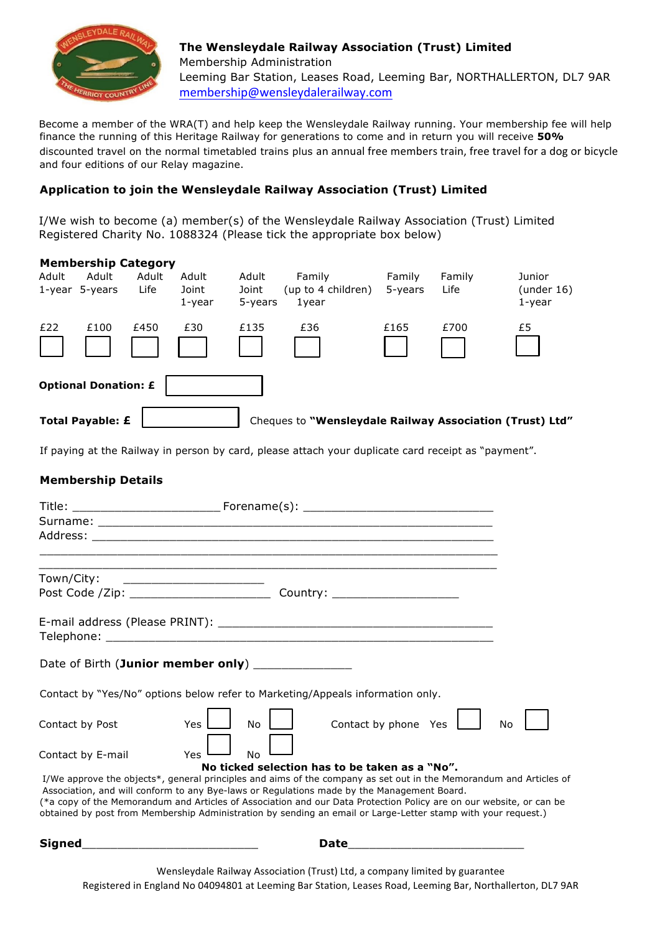

**The Wensleydale Railway Association (Trust) Limited**  Membership Administration Leeming Bar Station, Leases Road, Leeming Bar, NORTHALLERTON, DL7 9AR membership@wensleydalerailway.com

Become a member of the WRA(T) and help keep the Wensleydale Railway running. Your membership fee will help finance the running of this Heritage Railway for generations to come and in return you will receive **50%** discounted travel on the normal timetabled trains plus an annual free members train, free travel for a dog or bicycle and four editions of our Relay magazine.

#### **Application to join the Wensleydale Railway Association (Trust) Limited**

I/We wish to become (a) member(s) of the Wensleydale Railway Association (Trust) Limited Registered Charity No. 1088324 (Please tick the appropriate box below)

|                                                                                                     | <b>Membership Category</b>  |               |                             |                           |                                                                                                                                                                                                                                |                      |                |                                      |
|-----------------------------------------------------------------------------------------------------|-----------------------------|---------------|-----------------------------|---------------------------|--------------------------------------------------------------------------------------------------------------------------------------------------------------------------------------------------------------------------------|----------------------|----------------|--------------------------------------|
| Adult                                                                                               | Adult<br>1-year 5-years     | Adult<br>Life | Adult<br>Joint<br>$1$ -year | Adult<br>Joint<br>5-years | Family<br>(up to 4 children)<br>1year                                                                                                                                                                                          | Family<br>5-years    | Family<br>Life | Junior<br>(under $16$ )<br>$1$ -year |
| £22                                                                                                 | £100                        | £450          | £30                         | £135                      | £36                                                                                                                                                                                                                            | £165                 | £700           | £5                                   |
|                                                                                                     | <b>Optional Donation: £</b> |               |                             |                           |                                                                                                                                                                                                                                |                      |                |                                      |
| <b>Total Payable: £</b><br>Cheques to "Wensleydale Railway Association (Trust) Ltd"                 |                             |               |                             |                           |                                                                                                                                                                                                                                |                      |                |                                      |
| If paying at the Railway in person by card, please attach your duplicate card receipt as "payment". |                             |               |                             |                           |                                                                                                                                                                                                                                |                      |                |                                      |
|                                                                                                     | <b>Membership Details</b>   |               |                             |                           |                                                                                                                                                                                                                                |                      |                |                                      |
|                                                                                                     |                             |               |                             |                           |                                                                                                                                                                                                                                |                      |                |                                      |
|                                                                                                     |                             |               |                             |                           |                                                                                                                                                                                                                                |                      |                |                                      |
| Town/City:                                                                                          |                             |               |                             |                           | Post Code /Zip: _________________________________ Country: _____________________                                                                                                                                               |                      |                |                                      |
|                                                                                                     |                             |               |                             |                           | Telephone: the contract of the contract of the contract of the contract of the contract of the contract of the contract of the contract of the contract of the contract of the contract of the contract of the contract of the |                      |                |                                      |
|                                                                                                     |                             |               |                             |                           | Date of Birth (Junior member only) _____________                                                                                                                                                                               |                      |                |                                      |
| Contact by "Yes/No" options below refer to Marketing/Appeals information only.                      |                             |               |                             |                           |                                                                                                                                                                                                                                |                      |                |                                      |
|                                                                                                     | Contact by Post             |               | Yes                         | <b>No</b>                 |                                                                                                                                                                                                                                | Contact by phone Yes |                | No                                   |
|                                                                                                     | Contact by E-mail           |               | Yes                         | <b>No</b>                 |                                                                                                                                                                                                                                |                      |                |                                      |

|                                                                                                                                                                                                                               |  | No ticked selection has to be taken as a "No". |  |
|-------------------------------------------------------------------------------------------------------------------------------------------------------------------------------------------------------------------------------|--|------------------------------------------------|--|
| . The contract of the contract of the contract of the contract of the contract of the contract of the contract of the contract of the contract of the contract of the contract of the contract of the contract of the contrac |  |                                                |  |

I/We approve the objects\*, general principles and aims of the company as set out in the Memorandum and Articles of Association, and will conform to any Bye-laws or Regulations made by the Management Board. (\*a copy of the Memorandum and Articles of Association and our Data Protection Policy are on our website, or can be obtained by post from Membership Administration by sending an email or Large-Letter stamp with your request.)

**Signed**\_\_\_\_\_\_\_\_\_\_\_\_\_\_\_\_\_\_\_\_\_\_\_\_\_ **Date**\_\_\_\_\_\_\_\_\_\_\_\_\_\_\_\_\_\_\_\_\_\_\_\_\_

Wensleydale Railway Association (Trust) Ltd, a company limited by guarantee

Registered in England No 04094801 at Leeming Bar Station, Leases Road, Leeming Bar, Northallerton, DL7 9AR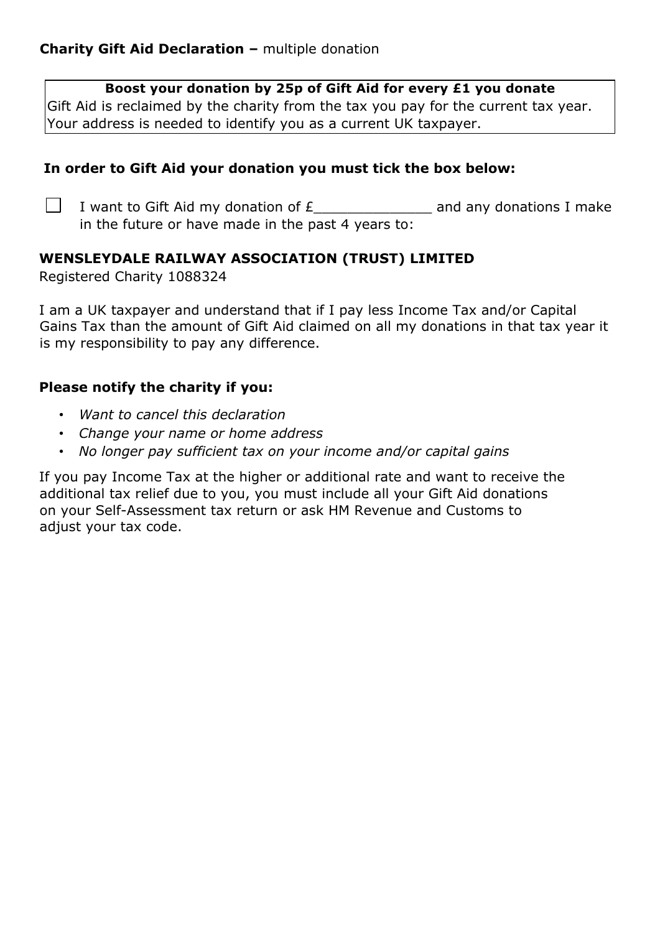## **Charity Gift Aid Declaration –** multiple donation

#### **Boost your donation by 25p of Gift Aid for every £1 you donate**

Gift Aid is reclaimed by the charity from the tax you pay for the current tax year. Your address is needed to identify you as a current UK taxpayer.

#### **In order to Gift Aid your donation you must tick the box below:**

 $\Box$ 

I want to Gift Aid my donation of  $E$  and any donations I make in the future or have made in the past 4 years to:

#### **WENSLEYDALE RAILWAY ASSOCIATION (TRUST) LIMITED**

Registered Charity 1088324

I am a UK taxpayer and understand that if I pay less Income Tax and/or Capital Gains Tax than the amount of Gift Aid claimed on all my donations in that tax year it is my responsibility to pay any difference.

#### **Please notify the charity if you:**

- *Want to cancel this declaration*
- *Change your name or home address*
- *No longer pay sufficient tax on your income and/or capital gains*

If you pay Income Tax at the higher or additional rate and want to receive the additional tax relief due to you, you must include all your Gift Aid donations on your Self-Assessment tax return or ask HM Revenue and Customs to adjust your tax code.